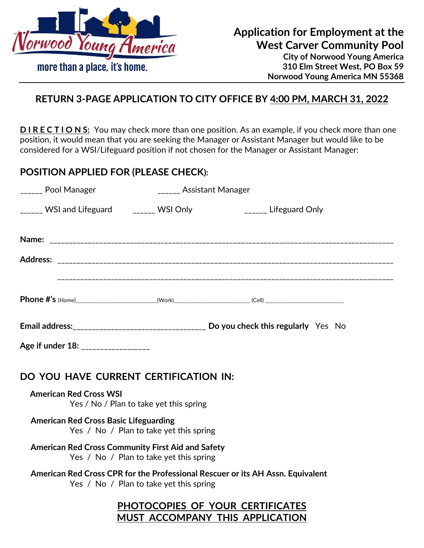

**310 Elm Street West, PO Box 59 Norwood Young America MN 55368**

## **RETURN 3-PAGE APPLICATION TO CITY OFFICE BY 4:00 PM, MARCH 31, 2022**

**DIRECTIONS:** You may check more than one position. As an example, if you check more than one position, it would mean that you are seeking the Manager or Assistant Manager but would like to be considered for a WSI/Lifeguard position if not chosen for the Manager or Assistant Manager:

## **POSITION APPLIED FOR (PLEASE CHECK):**

| <b>Nanager</b> Pool Manager                                                                                               | ______ Assistant Manager |                                  |  |
|---------------------------------------------------------------------------------------------------------------------------|--------------------------|----------------------------------|--|
| _____ WSI and Lifeguard ______ WSI Only                                                                                   |                          | $\frac{1}{2}$ Lifeguard Only     |  |
|                                                                                                                           |                          |                                  |  |
|                                                                                                                           |                          |                                  |  |
|                                                                                                                           |                          |                                  |  |
|                                                                                                                           |                          |                                  |  |
|                                                                                                                           |                          |                                  |  |
|                                                                                                                           |                          |                                  |  |
|                                                                                                                           |                          |                                  |  |
| Age if under 18: _________________                                                                                        |                          |                                  |  |
| DO YOU HAVE CURRENT CERTIFICATION IN:                                                                                     |                          |                                  |  |
| <b>American Red Cross WSI</b>                                                                                             |                          |                                  |  |
| Yes / No / Plan to take yet this spring                                                                                   |                          |                                  |  |
| <b>American Red Cross Basic Lifeguarding</b><br>Yes / No / Plan to take yet this spring                                   |                          |                                  |  |
| <b>American Red Cross Community First Aid and Safety</b><br>Yes / No / Plan to take yet this spring                       |                          |                                  |  |
| American Red Cross CPR for the Professional Rescuer or its AH Assn. Equivalent<br>Yes / No / Plan to take yet this spring |                          |                                  |  |
|                                                                                                                           |                          | PHOTOCOPIES OF YOUR CERTIFICATES |  |

**MUST ACCOMPANY THIS APPLICATION**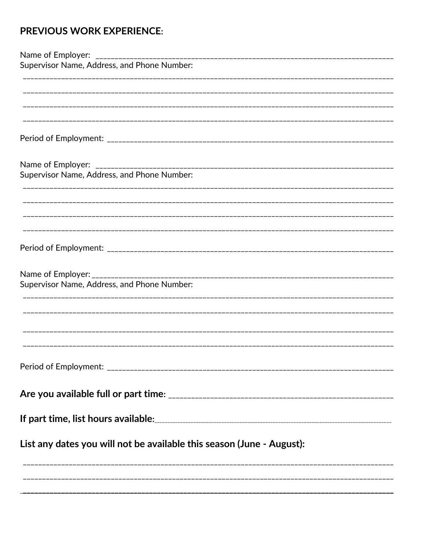## **PREVIOUS WORK EXPERIENCE:**

| Supervisor Name, Address, and Phone Number:                           |
|-----------------------------------------------------------------------|
|                                                                       |
|                                                                       |
|                                                                       |
|                                                                       |
| Supervisor Name, Address, and Phone Number:                           |
|                                                                       |
|                                                                       |
| Supervisor Name, Address, and Phone Number:                           |
|                                                                       |
|                                                                       |
|                                                                       |
|                                                                       |
| List any dates you will not be available this season (June - August): |
|                                                                       |